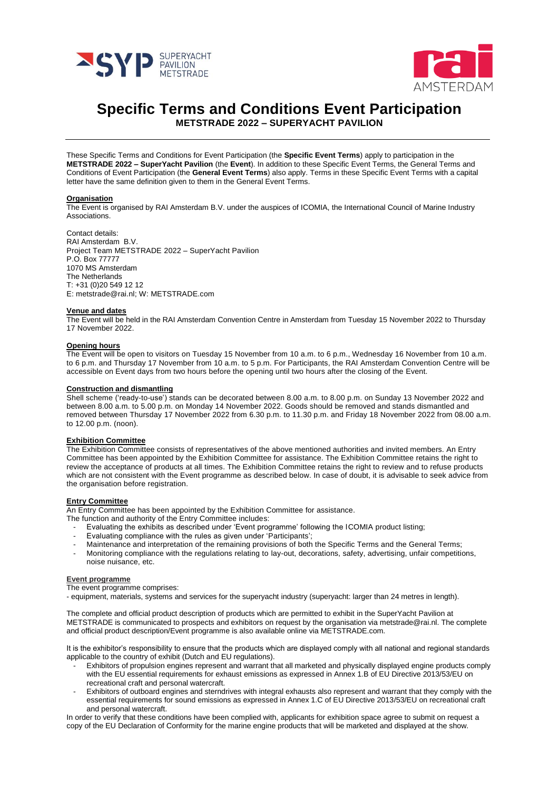



# **Specific Terms and Conditions Event Participation**

**METSTRADE 2022 – SUPERYACHT PAVILION**

These Specific Terms and Conditions for Event Participation (the **Specific Event Terms**) apply to participation in the **METSTRADE 2022 – SuperYacht Pavilion** (the **Event**). In addition to these Specific Event Terms, the General Terms and Conditions of Event Participation (the **General Event Terms**) also apply. Terms in these Specific Event Terms with a capital letter have the same definition given to them in the General Event Terms.

#### **Organisation**

The Event is organised by RAI Amsterdam B.V. under the auspices of ICOMIA, the International Council of Marine Industry Associations.

Contact details: RAI Amsterdam B.V. Project Team METSTRADE 2022 – SuperYacht Pavilion P.O. Box 77777 1070 MS Amsterdam The Netherlands T: +31 (0)20 549 12 12 E: metstrade@rai.nl; W: METSTRADE.com

#### **Venue and dates**

The Event will be held in the RAI Amsterdam Convention Centre in Amsterdam from Tuesday 15 November 2022 to Thursday 17 November 2022.

## **Opening hours**

The Event will be open to visitors on Tuesday 15 November from 10 a.m. to 6 p.m., Wednesday 16 November from 10 a.m. to 6 p.m. and Thursday 17 November from 10 a.m. to 5 p.m. For Participants, the RAI Amsterdam Convention Centre will be accessible on Event days from two hours before the opening until two hours after the closing of the Event.

# **Construction and dismantling**

Shell scheme ('ready-to-use') stands can be decorated between 8.00 a.m. to 8.00 p.m. on Sunday 13 November 2022 and between 8.00 a.m. to 5.00 p.m. on Monday 14 November 2022. Goods should be removed and stands dismantled and removed between Thursday 17 November 2022 from 6.30 p.m. to 11.30 p.m. and Friday 18 November 2022 from 08.00 a.m. to 12.00 p.m. (noon).

## **Exhibition Committee**

The Exhibition Committee consists of representatives of the above mentioned authorities and invited members. An Entry Committee has been appointed by the Exhibition Committee for assistance. The Exhibition Committee retains the right to review the acceptance of products at all times. The Exhibition Committee retains the right to review and to refuse products which are not consistent with the Event programme as described below. In case of doubt, it is advisable to seek advice from the organisation before registration.

## **Entry Committee**

An Entry Committee has been appointed by the Exhibition Committee for assistance.

- The function and authority of the Entry Committee includes:
	- Evaluating the exhibits as described under 'Event programme' following the ICOMIA product listing;
	- Evaluating compliance with the rules as given under 'Participants';
	- Maintenance and interpretation of the remaining provisions of both the Specific Terms and the General Terms; - Monitoring compliance with the regulations relating to lay-out, decorations, safety, advertising, unfair competitions, noise nuisance, etc.

# **Event programme**

The event programme comprises:

- equipment, materials, systems and services for the superyacht industry (superyacht: larger than 24 metres in length).

The complete and official product description of products which are permitted to exhibit in the SuperYacht Pavilion at METSTRADE is communicated to prospects and exhibitors on request by the organisation via metstrade@rai.nl. The complete and official product description/Event programme is also available online via METSTRADE.com.

It is the exhibitor's responsibility to ensure that the products which are displayed comply with all national and regional standards applicable to the country of exhibit (Dutch and EU regulations).

- Exhibitors of propulsion engines represent and warrant that all marketed and physically displayed engine products comply with the EU essential requirements for exhaust emissions as expressed in Annex 1.B of EU Directive 2013/53/EU on recreational craft and personal watercraft.
- Exhibitors of outboard engines and sterndrives with integral exhausts also represent and warrant that they comply with the essential requirements for sound emissions as expressed in Annex 1.C of EU Directive 2013/53/EU on recreational craft and personal watercraft.

In order to verify that these conditions have been complied with, applicants for exhibition space agree to submit on request a copy of the EU Declaration of Conformity for the marine engine products that will be marketed and displayed at the show.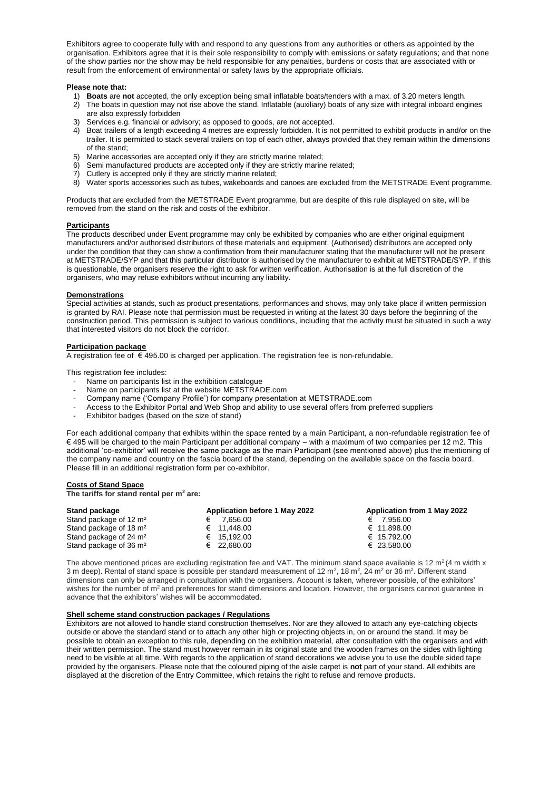Exhibitors agree to cooperate fully with and respond to any questions from any authorities or others as appointed by the organisation. Exhibitors agree that it is their sole responsibility to comply with emissions or safety regulations; and that none of the show parties nor the show may be held responsible for any penalties, burdens or costs that are associated with or result from the enforcement of environmental or safety laws by the appropriate officials.

## **Please note that:**

- 1) **Boats** are **not** accepted, the only exception being small inflatable boats/tenders with a max. of 3.20 meters length.
- 2) The boats in question may not rise above the stand. Inflatable (auxiliary) boats of any size with integral inboard engines are also expressly forbidden
- 3) Services e.g. financial or advisory; as opposed to goods, are not accepted.
- 4) Boat trailers of a length exceeding 4 metres are expressly forbidden. It is not permitted to exhibit products in and/or on the trailer. It is permitted to stack several trailers on top of each other, always provided that they remain within the dimensions of the stand;
- 5) Marine accessories are accepted only if they are strictly marine related;
- 6) Semi manufactured products are accepted only if they are strictly marine related;
- 7) Cutlery is accepted only if they are strictly marine related;
- 8) Water sports accessories such as tubes, wakeboards and canoes are excluded from the METSTRADE Event programme.

Products that are excluded from the METSTRADE Event programme, but are despite of this rule displayed on site, will be removed from the stand on the risk and costs of the exhibitor.

#### **Participants**

The products described under Event programme may only be exhibited by companies who are either original equipment manufacturers and/or authorised distributors of these materials and equipment. (Authorised) distributors are accepted only under the condition that they can show a confirmation from their manufacturer stating that the manufacturer will not be present at METSTRADE/SYP and that this particular distributor is authorised by the manufacturer to exhibit at METSTRADE/SYP. If this is questionable, the organisers reserve the right to ask for written verification. Authorisation is at the full discretion of the organisers, who may refuse exhibitors without incurring any liability.

## **Demonstrations**

Special activities at stands, such as product presentations, performances and shows, may only take place if written permission is granted by RAI. Please note that permission must be requested in writing at the latest 30 days before the beginning of the construction period. This permission is subject to various conditions, including that the activity must be situated in such a way that interested visitors do not block the corridor.

#### **Participation package**

A registration fee of € 495.00 is charged per application. The registration fee is non-refundable.

This registration fee includes:

- Name on participants list in the exhibition catalogue
- Name on participants list at the website METSTRADE.com
- Company name ('Company Profile') for company presentation at METSTRADE.com
- Access to the Exhibitor Portal and Web Shop and ability to use several offers from preferred suppliers
- Exhibitor badges (based on the size of stand)

For each additional company that exhibits within the space rented by a main Participant, a non-refundable registration fee of € 495 will be charged to the main Participant per additional company – with a maximum of two companies per 12 m2. This additional 'co-exhibitor' will receive the same package as the main Participant (see mentioned above) plus the mentioning of the company name and country on the fascia board of the stand, depending on the available space on the fascia board. Please fill in an additional registration form per co-exhibitor.

## **Costs of Stand Space**

**The tariffs for stand rental per m<sup>2</sup> are:**

| Stand package                      | Application before 1 May 2022 | Application from 1 May 2022 |
|------------------------------------|-------------------------------|-----------------------------|
| Stand package of 12 m <sup>2</sup> | 7.656.00                      | 7.956.00<br>€               |
| Stand package of 18 m <sup>2</sup> | € 11.448.00                   | € 11.898.00                 |
| Stand package of 24 m <sup>2</sup> | € 15.192.00                   | € 15.792.00                 |
| Stand package of 36 m <sup>2</sup> | $€$ 22.680.00                 | € 23.580.00                 |

The above mentioned prices are excluding registration fee and VAT. The minimum stand space available is 12 m<sup>2</sup> (4 m width x 3 m deep). Rental of stand space is possible per standard measurement of 12 m<sup>2</sup>, 18 m<sup>2</sup>, 24 m<sup>2</sup> or 36 m<sup>2</sup>. Different stand dimensions can only be arranged in consultation with the organisers. Account is taken, wherever possible, of the exhibitors' wishes for the number of  $m<sup>2</sup>$  and preferences for stand dimensions and location. However, the organisers cannot guarantee in advance that the exhibitors' wishes will be accommodated.

#### **Shell scheme stand construction packages / Regulations**

Exhibitors are not allowed to handle stand construction themselves. Nor are they allowed to attach any eye-catching objects outside or above the standard stand or to attach any other high or projecting objects in, on or around the stand. It may be possible to obtain an exception to this rule, depending on the exhibition material, after consultation with the organisers and with their written permission. The stand must however remain in its original state and the wooden frames on the sides with lighting need to be visible at all time. With regards to the application of stand decorations we advise you to use the double sided tape provided by the organisers. Please note that the coloured piping of the aisle carpet is **not** part of your stand. All exhibits are displayed at the discretion of the Entry Committee, which retains the right to refuse and remove products.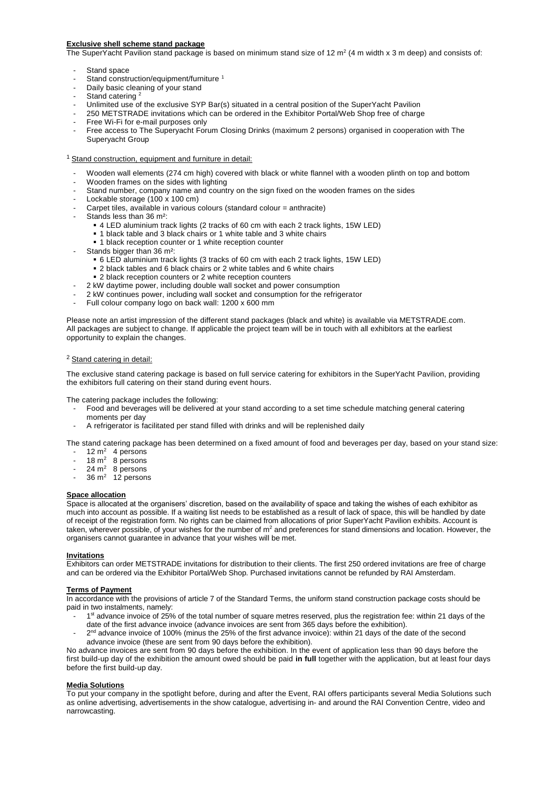# **Exclusive shell scheme stand package**

The SuperYacht Pavilion stand package is based on minimum stand size of 12 m<sup>2</sup> (4 m width x 3 m deep) and consists of:

- Stand space
- Stand construction/equipment/furniture<sup>1</sup>
- Daily basic cleaning of your stand
- Stand catering<sup>2</sup>
- Unlimited use of the exclusive SYP Bar(s) situated in a central position of the SuperYacht Pavilion
- 250 METSTRADE invitations which can be ordered in the Exhibitor Portal/Web Shop free of charge
- Free Wi-Fi for e-mail purposes only
- Free access to The Superyacht Forum Closing Drinks (maximum 2 persons) organised in cooperation with The Superyacht Group
- <sup>1</sup> Stand construction, equipment and furniture in detail:
	- Wooden wall elements (274 cm high) covered with black or white flannel with a wooden plinth on top and bottom
	- Wooden frames on the sides with lighting
	- Stand number, company name and country on the sign fixed on the wooden frames on the sides
	- Lockable storage (100 x 100 cm)
	- Carpet tiles, available in various colours (standard colour = anthracite)
	- Stands less than 36 m<sup>2</sup>:
		- 4 LED aluminium track lights (2 tracks of 60 cm with each 2 track lights, 15W LED)
		- **1** black table and 3 black chairs or 1 white table and 3 white chairs
		- 1 black reception counter or 1 white reception counter
	- Stands bigger than 36 m<sup>2</sup>:
		- 6 LED aluminium track lights (3 tracks of 60 cm with each 2 track lights, 15W LED)
		- 2 black tables and 6 black chairs or 2 white tables and 6 white chairs
		- 2 black reception counters or 2 white reception counters
		- 2 kW daytime power, including double wall socket and power consumption
	- 2 kW continues power, including wall socket and consumption for the refrigerator
	- Full colour company logo on back wall: 1200 x 600 mm

Please note an artist impression of the different stand packages (black and white) is available via METSTRADE.com. All packages are subject to change. If applicable the project team will be in touch with all exhibitors at the earliest opportunity to explain the changes.

## <sup>2</sup> Stand catering in detail:

The exclusive stand catering package is based on full service catering for exhibitors in the SuperYacht Pavilion, providing the exhibitors full catering on their stand during event hours.

The catering package includes the following:

- Food and beverages will be delivered at your stand according to a set time schedule matching general catering moments per day
- A refrigerator is facilitated per stand filled with drinks and will be replenished daily

The stand catering package has been determined on a fixed amount of food and beverages per day, based on your stand size:

- $12 \text{ m}^2$  4 persons
- $18 m<sup>2</sup>$  8 persons
- $-$  24 m<sup>2</sup> 8 persons
- $-$  36 m<sup>2</sup> 12 persons

#### **Space allocation**

Space is allocated at the organisers' discretion, based on the availability of space and taking the wishes of each exhibitor as much into account as possible. If a waiting list needs to be established as a result of lack of space, this will be handled by date of receipt of the registration form. No rights can be claimed from allocations of prior SuperYacht Pavilion exhibits. Account is taken, wherever possible, of your wishes for the number of m<sup>2</sup> and preferences for stand dimensions and location. However, the organisers cannot guarantee in advance that your wishes will be met.

## **Invitations**

Exhibitors can order METSTRADE invitations for distribution to their clients. The first 250 ordered invitations are free of charge and can be ordered via the Exhibitor Portal/Web Shop. Purchased invitations cannot be refunded by RAI Amsterdam.

#### **Terms of Payment**

In accordance with the provisions of article 7 of the Standard Terms, the uniform stand construction package costs should be paid in two instalments, namely:

- <sup>1</sup> 1<sup>st</sup> advance invoice of 25% of the total number of square metres reserved, plus the registration fee: within 21 days of the date of the first advance invoice (advance invoices are sent from 365 days before the exhibition).
- 2<sup>nd</sup> advance invoice of 100% (minus the 25% of the first advance invoice): within 21 days of the date of the second advance invoice (these are sent from 90 days before the exhibition).

No advance invoices are sent from 90 days before the exhibition. In the event of application less than 90 days before the first build-up day of the exhibition the amount owed should be paid **in full** together with the application, but at least four days before the first build-up day.

#### **Media Solutions**

To put your company in the spotlight before, during and after the Event, RAI offers participants several Media Solutions such as online advertising, advertisements in the show catalogue, advertising in- and around the RAI Convention Centre, video and narrowcasting.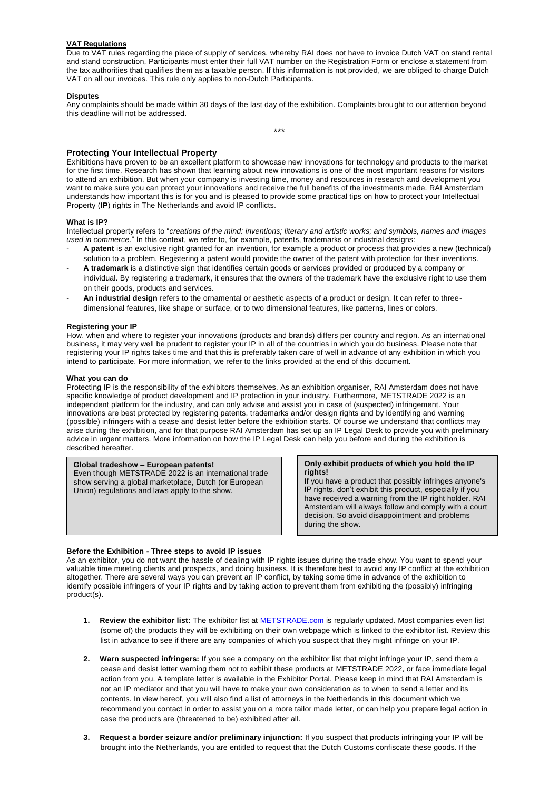# **VAT Regulations**

Due to VAT rules regarding the place of supply of services, whereby RAI does not have to invoice Dutch VAT on stand rental and stand construction, Participants must enter their full VAT number on the Registration Form or enclose a statement from the tax authorities that qualifies them as a taxable person. If this information is not provided, we are obliged to charge Dutch VAT on all our invoices. This rule only applies to non-Dutch Participants.

## **Disputes**

Any complaints should be made within 30 days of the last day of the exhibition. Complaints brought to our attention beyond this deadline will not be addressed.

\*\*\*

## **Protecting Your Intellectual Property**

Exhibitions have proven to be an excellent platform to showcase new innovations for technology and products to the market for the first time. Research has shown that learning about new innovations is one of the most important reasons for visitors to attend an exhibition. But when your company is investing time, money and resources in research and development you want to make sure you can protect your innovations and receive the full benefits of the investments made. RAI Amsterdam understands how important this is for you and is pleased to provide some practical tips on how to protect your Intellectual Property (**IP**) rights in The Netherlands and avoid IP conflicts.

## **What is IP?**

Intellectual property refers to "*creations of the mind: inventions; literary and artistic works; and symbols, names and images used in commerce*." In this context, we refer to, for example, patents, trademarks or industrial designs:

- **A patent** is an exclusive right granted for an invention, for example a product or process that provides a new (technical) solution to a problem. Registering a patent would provide the owner of the patent with protection for their inventions.
- **A trademark** is a distinctive sign that identifies certain goods or services provided or produced by a company or individual. By registering a trademark, it ensures that the owners of the trademark have the exclusive right to use them on their goods, products and services.
- **An industrial design** refers to the ornamental or aesthetic aspects of a product or design. It can refer to threedimensional features, like shape or surface, or to two dimensional features, like patterns, lines or colors.

#### **Registering your IP**

How, when and where to register your innovations (products and brands) differs per country and region. As an international business, it may very well be prudent to register your IP in all of the countries in which you do business. Please note that registering your IP rights takes time and that this is preferably taken care of well in advance of any exhibition in which you intend to participate. For more information, we refer to the links provided at the end of this document.

#### **What you can do**

Protecting IP is the responsibility of the exhibitors themselves. As an exhibition organiser, RAI Amsterdam does not have specific knowledge of product development and IP protection in your industry. Furthermore, METSTRADE 2022 is an independent platform for the industry, and can only advise and assist you in case of (suspected) infringement. Your innovations are best protected by registering patents, trademarks and/or design rights and by identifying and warning (possible) infringers with a cease and desist letter before the exhibition starts. Of course we understand that conflicts may arise during the exhibition, and for that purpose RAI Amsterdam has set up an IP Legal Desk to provide you with preliminary advice in urgent matters. More information on how the IP Legal Desk can help you before and during the exhibition is described hereafter.

# **Global tradeshow – European patents!**

Even though METSTRADE 2022 is an international trade show serving a global marketplace, Dutch (or European Union) regulations and laws apply to the show.

#### **Only exhibit products of which you hold the IP rights!**

If you have a product that possibly infringes anyone's IP rights, don't exhibit this product, especially if you have received a warning from the IP right holder. RAI Amsterdam will always follow and comply with a court decision. So avoid disappointment and problems during the show.

## **Before the Exhibition - Three steps to avoid IP issues**

As an exhibitor, you do not want the hassle of dealing with IP rights issues during the trade show. You want to spend your valuable time meeting clients and prospects, and doing business. It is therefore best to avoid any IP conflict at the exhibition altogether. There are several ways you can prevent an IP conflict, by taking some time in advance of the exhibition to identify possible infringers of your IP rights and by taking action to prevent them from exhibiting the (possibly) infringing product(s).

- **1. Review the exhibitor list:** The exhibitor list at [METSTRADE.com](http://www.metstrade.com/) is regularly updated. Most companies even list (some of) the products they will be exhibiting on their own webpage which is linked to the exhibitor list. Review this list in advance to see if there are any companies of which you suspect that they might infringe on your IP.
- **2. Warn suspected infringers:** If you see a company on the exhibitor list that might infringe your IP, send them a cease and desist letter warning them not to exhibit these products at METSTRADE 2022, or face immediate legal action from you. A template letter is available in the Exhibitor Portal. Please keep in mind that RAI Amsterdam is not an IP mediator and that you will have to make your own consideration as to when to send a letter and its contents. In view hereof, you will also find a list of attorneys in the Netherlands in this document which we recommend you contact in order to assist you on a more tailor made letter, or can help you prepare legal action in case the products are (threatened to be) exhibited after all.
- **3. Request a border seizure and/or preliminary injunction:** If you suspect that products infringing your IP will be brought into the Netherlands, you are entitled to request that the Dutch Customs confiscate these goods. If the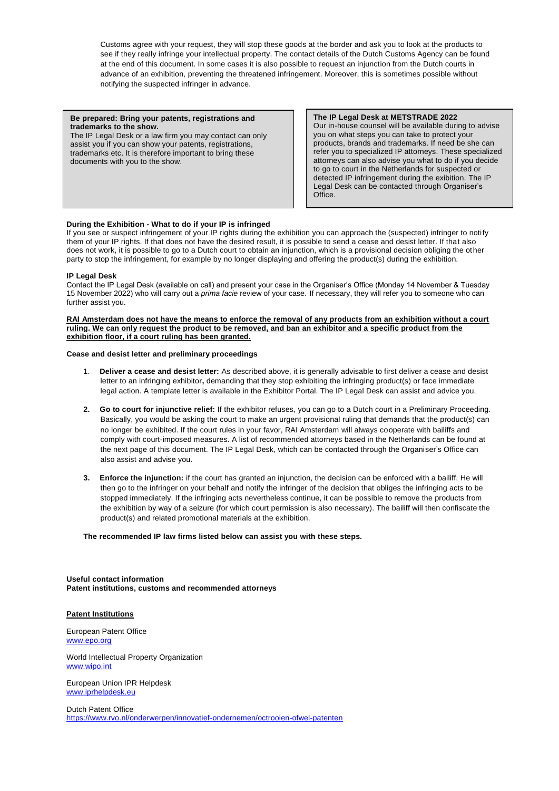Customs agree with your request, they will stop these goods at the border and ask you to look at the products to see if they really infringe your intellectual property. The contact details of the Dutch Customs Agency can be found at the end of this document. In some cases it is also possible to request an injunction from the Dutch courts in advance of an exhibition, preventing the threatened infringement. Moreover, this is sometimes possible without notifying the suspected infringer in advance.

#### **Be prepared: Bring your patents, registrations and trademarks to the show.**

The IP Legal Desk or a law firm you may contact can only assist you if you can show your patents, registrations, trademarks etc. It is therefore important to bring these documents with you to the show.

**The IP Legal Desk at METSTRADE 2022** Our in-house counsel will be available during to advise you on what steps you can take to protect your products, brands and trademarks. If need be she can refer you to specialized IP attorneys. These specialized attorneys can also advise you what to do if you decide to go to court in the Netherlands for suspected or detected IP infringement during the exibition. The IP Legal Desk can be contacted through Organiser's Office.

# **During the Exhibition - What to do if your IP is infringed**

If you see or suspect infringement of your IP rights during the exhibition you can approach the (suspected) infringer to notify them of your IP rights. If that does not have the desired result, it is possible to send a cease and desist letter. If that also does not work, it is possible to go to a Dutch court to obtain an injunction, which is a provisional decision obliging the other party to stop the infringement, for example by no longer displaying and offering the product(s) during the exhibition.

## **IP Legal Desk**

Contact the IP Legal Desk (available on call) and present your case in the Organiser's Office (Monday 14 November & Tuesday 15 November 2022) who will carry out a *prima facie* review of your case. If necessary, they will refer you to someone who can further assist you.

**RAI Amsterdam does not have the means to enforce the removal of any products from an exhibition without a court ruling. We can only request the product to be removed, and ban an exhibitor and a specific product from the exhibition floor, if a court ruling has been granted.** 

# **Cease and desist letter and preliminary proceedings**

- 1. **Deliver a cease and desist letter:** As described above, it is generally advisable to first deliver a cease and desist letter to an infringing exhibitor**,** demanding that they stop exhibiting the infringing product(s) or face immediate legal action. A template letter is available in the Exhibitor Portal. The IP Legal Desk can assist and advice you.
- **2. Go to court for injunctive relief:** If the exhibitor refuses, you can go to a Dutch court in a Preliminary Proceeding. Basically, you would be asking the court to make an urgent provisional ruling that demands that the product(s) can no longer be exhibited. If the court rules in your favor, RAI Amsterdam will always cooperate with bailiffs and comply with court-imposed measures. A list of recommended attorneys based in the Netherlands can be found at the next page of this document. The IP Legal Desk, which can be contacted through the Organiser's Office can also assist and advise you.
- **3. Enforce the injunction:** if the court has granted an injunction, the decision can be enforced with a bailiff. He will then go to the infringer on your behalf and notify the infringer of the decision that obliges the infringing acts to be stopped immediately. If the infringing acts nevertheless continue, it can be possible to remove the products from the exhibition by way of a seizure (for which court permission is also necessary). The bailiff will then confiscate the product(s) and related promotional materials at the exhibition.

#### **The recommended IP law firms listed below can assist you with these steps.**

**Useful contact information Patent institutions, customs and recommended attorneys**

## **Patent Institutions**

European Patent Office [www.epo.org](http://www.epo.org/)

World Intellectual Property Organization [www.wipo.int](http://www.wipo.int/)

European Union IPR Helpdesk [www.iprhelpdesk.eu](http://www.iprhelpdesk.eu/)

Dutch Patent Office <https://www.rvo.nl/onderwerpen/innovatief-ondernemen/octrooien-ofwel-patenten>